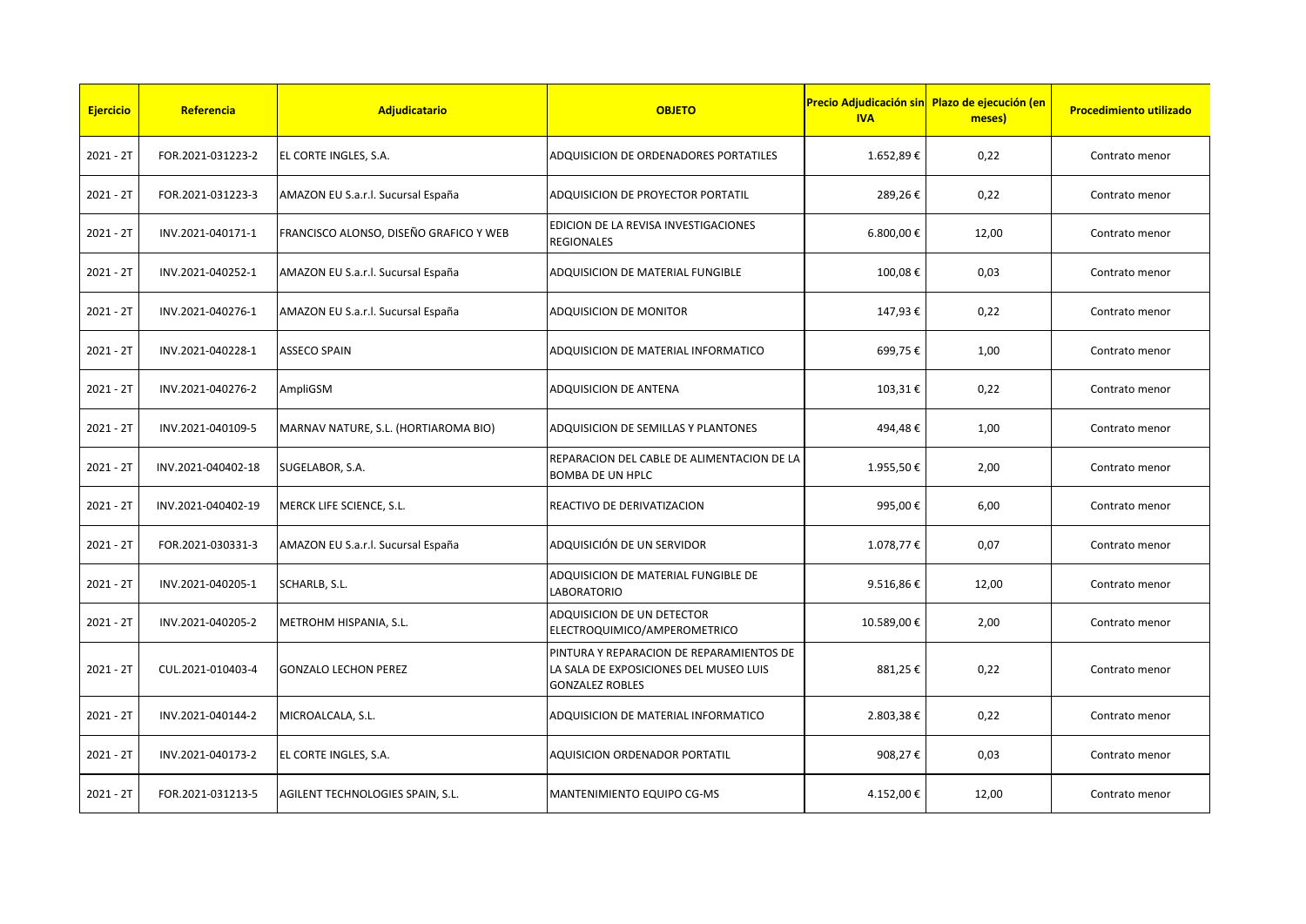| <b>Ejercicio</b> | Referencia         | Adjudicatario                          | <b>OBJETO</b>                                                                                                | <b>IVA</b> | Precio Adjudicación sin Plazo de ejecución (en<br>meses) | <b>Procedimiento utilizado</b> |
|------------------|--------------------|----------------------------------------|--------------------------------------------------------------------------------------------------------------|------------|----------------------------------------------------------|--------------------------------|
| $2021 - 2T$      | FOR.2021-031223-2  | EL CORTE INGLES, S.A.                  | ADQUISICION DE ORDENADORES PORTATILES                                                                        | 1.652,89€  | 0,22                                                     | Contrato menor                 |
| $2021 - 2T$      | FOR.2021-031223-3  | AMAZON EU S.a.r.l. Sucursal España     | ADQUISICION DE PROYECTOR PORTATIL                                                                            | 289,26€    | 0,22                                                     | Contrato menor                 |
| 2021 - 2T        | INV.2021-040171-1  | FRANCISCO ALONSO, DISEÑO GRAFICO Y WEB | EDICION DE LA REVISA INVESTIGACIONES<br><b>REGIONALES</b>                                                    | 6.800,00€  | 12,00                                                    | Contrato menor                 |
| $2021 - 2T$      | INV.2021-040252-1  | AMAZON EU S.a.r.l. Sucursal España     | ADQUISICION DE MATERIAL FUNGIBLE                                                                             | 100,08€    | 0,03                                                     | Contrato menor                 |
| 2021 - 2T        | INV.2021-040276-1  | AMAZON EU S.a.r.l. Sucursal España     | <b>ADQUISICION DE MONITOR</b>                                                                                | 147,93€    | 0,22                                                     | Contrato menor                 |
| $2021 - 2T$      | INV.2021-040228-1  | <b>ASSECO SPAIN</b>                    | ADQUISICION DE MATERIAL INFORMATICO                                                                          | 699,75€    | 1,00                                                     | Contrato menor                 |
| $2021 - 2T$      | INV.2021-040276-2  | AmpliGSM                               | <b>ADQUISICION DE ANTENA</b>                                                                                 | 103,31€    | 0,22                                                     | Contrato menor                 |
| $2021 - 2T$      | INV.2021-040109-5  | MARNAV NATURE, S.L. (HORTIAROMA BIO)   | ADQUISICION DE SEMILLAS Y PLANTONES                                                                          | 494,48€    | 1,00                                                     | Contrato menor                 |
| $2021 - 2T$      | INV.2021-040402-18 | SUGELABOR, S.A.                        | REPARACION DEL CABLE DE ALIMENTACION DE LA<br><b>BOMBA DE UN HPLC</b>                                        | 1.955,50€  | 2,00                                                     | Contrato menor                 |
| $2021 - 2T$      | INV.2021-040402-19 | MERCK LIFE SCIENCE, S.L.               | REACTIVO DE DERIVATIZACION                                                                                   | 995,00€    | 6,00                                                     | Contrato menor                 |
| $2021 - 2T$      | FOR.2021-030331-3  | AMAZON EU S.a.r.l. Sucursal España     | ADQUISICIÓN DE UN SERVIDOR                                                                                   | 1.078,77 € | 0,07                                                     | Contrato menor                 |
| $2021 - 2T$      | INV.2021-040205-1  | SCHARLB, S.L.                          | ADQUISICION DE MATERIAL FUNGIBLE DE<br><b>LABORATORIO</b>                                                    | 9.516,86€  | 12,00                                                    | Contrato menor                 |
| $2021 - 2T$      | INV.2021-040205-2  | METROHM HISPANIA, S.L.                 | ADQUISICION DE UN DETECTOR<br>ELECTROQUIMICO/AMPEROMETRICO                                                   | 10.589,00€ | 2,00                                                     | Contrato menor                 |
| $2021 - 2T$      | CUL.2021-010403-4  | <b>GONZALO LECHON PEREZ</b>            | PINTURA Y REPARACION DE REPARAMIENTOS DE<br>LA SALA DE EXPOSICIONES DEL MUSEO LUIS<br><b>GONZALEZ ROBLES</b> | 881,25€    | 0,22                                                     | Contrato menor                 |
| $2021 - 2T$      | INV.2021-040144-2  | MICROALCALA, S.L.                      | ADQUISICION DE MATERIAL INFORMATICO                                                                          | 2.803,38€  | 0,22                                                     | Contrato menor                 |
| $2021 - 2T$      | INV.2021-040173-2  | EL CORTE INGLES, S.A.                  | <b>AQUISICION ORDENADOR PORTATIL</b>                                                                         | 908,27€    | 0,03                                                     | Contrato menor                 |
| $2021 - 2T$      | FOR.2021-031213-5  | AGILENT TECHNOLOGIES SPAIN, S.L.       | MANTENIMIENTO EQUIPO CG-MS                                                                                   | 4.152,00 € | 12,00                                                    | Contrato menor                 |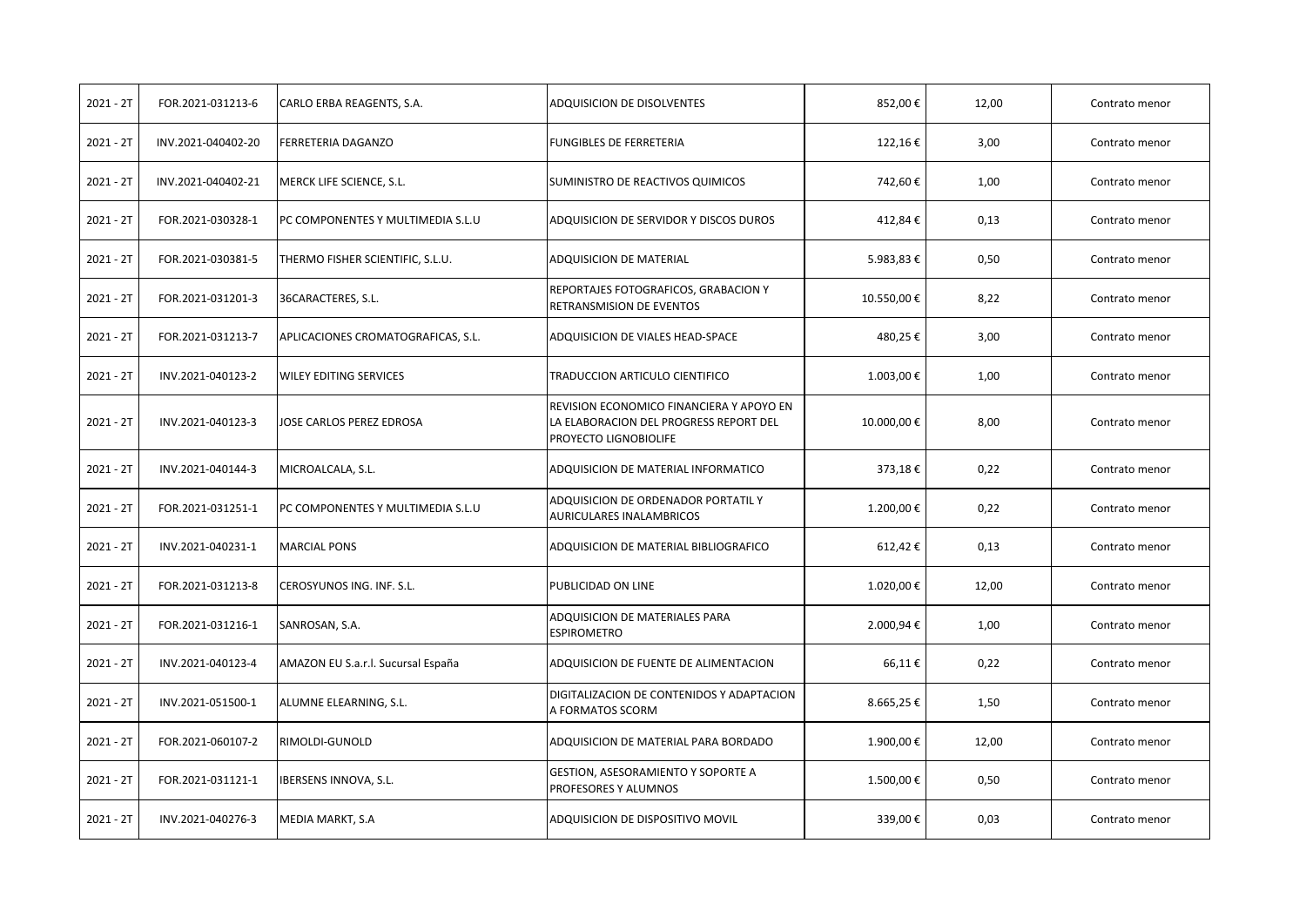| $2021 - 2T$ | FOR.2021-031213-6  | CARLO ERBA REAGENTS, S.A.          | ADQUISICION DE DISOLVENTES                                                                                  | 852,00€    | 12,00 | Contrato menor |
|-------------|--------------------|------------------------------------|-------------------------------------------------------------------------------------------------------------|------------|-------|----------------|
| $2021 - 2T$ | INV.2021-040402-20 | <b>FERRETERIA DAGANZO</b>          | <b>FUNGIBLES DE FERRETERIA</b>                                                                              | 122,16€    | 3,00  | Contrato menor |
| $2021 - 2T$ | INV.2021-040402-21 | MERCK LIFE SCIENCE, S.L.           | SUMINISTRO DE REACTIVOS QUIMICOS                                                                            | 742,60€    | 1,00  | Contrato menor |
| $2021 - 2T$ | FOR.2021-030328-1  | PC COMPONENTES Y MULTIMEDIA S.L.U  | ADQUISICION DE SERVIDOR Y DISCOS DUROS                                                                      | 412,84€    | 0,13  | Contrato menor |
| $2021 - 2T$ | FOR.2021-030381-5  | THERMO FISHER SCIENTIFIC, S.L.U.   | <b>ADQUISICION DE MATERIAL</b>                                                                              | 5.983,83€  | 0,50  | Contrato menor |
| $2021 - 2T$ | FOR.2021-031201-3  | 36CARACTERES, S.L.                 | REPORTAJES FOTOGRAFICOS, GRABACION Y<br>RETRANSMISION DE EVENTOS                                            | 10.550,00€ | 8,22  | Contrato menor |
| $2021 - 2T$ | FOR.2021-031213-7  | APLICACIONES CROMATOGRAFICAS, S.L. | ADQUISICION DE VIALES HEAD-SPACE                                                                            | 480,25€    | 3,00  | Contrato menor |
| $2021 - 2T$ | INV.2021-040123-2  | <b>WILEY EDITING SERVICES</b>      | TRADUCCION ARTICULO CIENTIFICO                                                                              | 1.003,00 € | 1,00  | Contrato menor |
| $2021 - 2T$ | INV.2021-040123-3  | JOSE CARLOS PEREZ EDROSA           | REVISION ECONOMICO FINANCIERA Y APOYO EN<br>LA ELABORACION DEL PROGRESS REPORT DEL<br>PROYECTO LIGNOBIOLIFE | 10.000,00€ | 8,00  | Contrato menor |
| $2021 - 2T$ | INV.2021-040144-3  | MICROALCALA, S.L.                  | ADQUISICION DE MATERIAL INFORMATICO                                                                         | 373,18€    | 0,22  | Contrato menor |
| $2021 - 2T$ | FOR.2021-031251-1  | PC COMPONENTES Y MULTIMEDIA S.L.U  | ADQUISICION DE ORDENADOR PORTATIL Y<br><b>AURICULARES INALAMBRICOS</b>                                      | 1.200,00€  | 0,22  | Contrato menor |
| $2021 - 2T$ | INV.2021-040231-1  | <b>MARCIAL PONS</b>                | ADQUISICION DE MATERIAL BIBLIOGRAFICO                                                                       | 612,42€    | 0,13  | Contrato menor |
| $2021 - 2T$ | FOR.2021-031213-8  | CEROSYUNOS ING. INF. S.L.          | <b>PUBLICIDAD ON LINE</b>                                                                                   | 1.020,00€  | 12,00 | Contrato menor |
| $2021 - 2T$ | FOR.2021-031216-1  | SANROSAN, S.A.                     | ADQUISICION DE MATERIALES PARA<br><b>ESPIROMETRO</b>                                                        | 2.000,94€  | 1,00  | Contrato menor |
| $2021 - 2T$ | INV.2021-040123-4  | AMAZON EU S.a.r.l. Sucursal España | ADQUISICION DE FUENTE DE ALIMENTACION                                                                       | 66,11€     | 0,22  | Contrato menor |
| $2021 - 2T$ | INV.2021-051500-1  | ALUMNE ELEARNING, S.L.             | DIGITALIZACION DE CONTENIDOS Y ADAPTACION<br>A FORMATOS SCORM                                               | 8.665,25€  | 1,50  | Contrato menor |
| $2021 - 2T$ | FOR.2021-060107-2  | RIMOLDI-GUNOLD                     | ADQUISICION DE MATERIAL PARA BORDADO                                                                        | 1.900,00€  | 12,00 | Contrato menor |
| $2021 - 2T$ | FOR.2021-031121-1  | IBERSENS INNOVA, S.L.              | GESTION, ASESORAMIENTO Y SOPORTE A<br>PROFESORES Y ALUMNOS                                                  | 1.500,00€  | 0,50  | Contrato menor |
| $2021 - 2T$ | INV.2021-040276-3  | MEDIA MARKT, S.A                   | ADQUISICION DE DISPOSITIVO MOVIL                                                                            | 339,00€    | 0,03  | Contrato menor |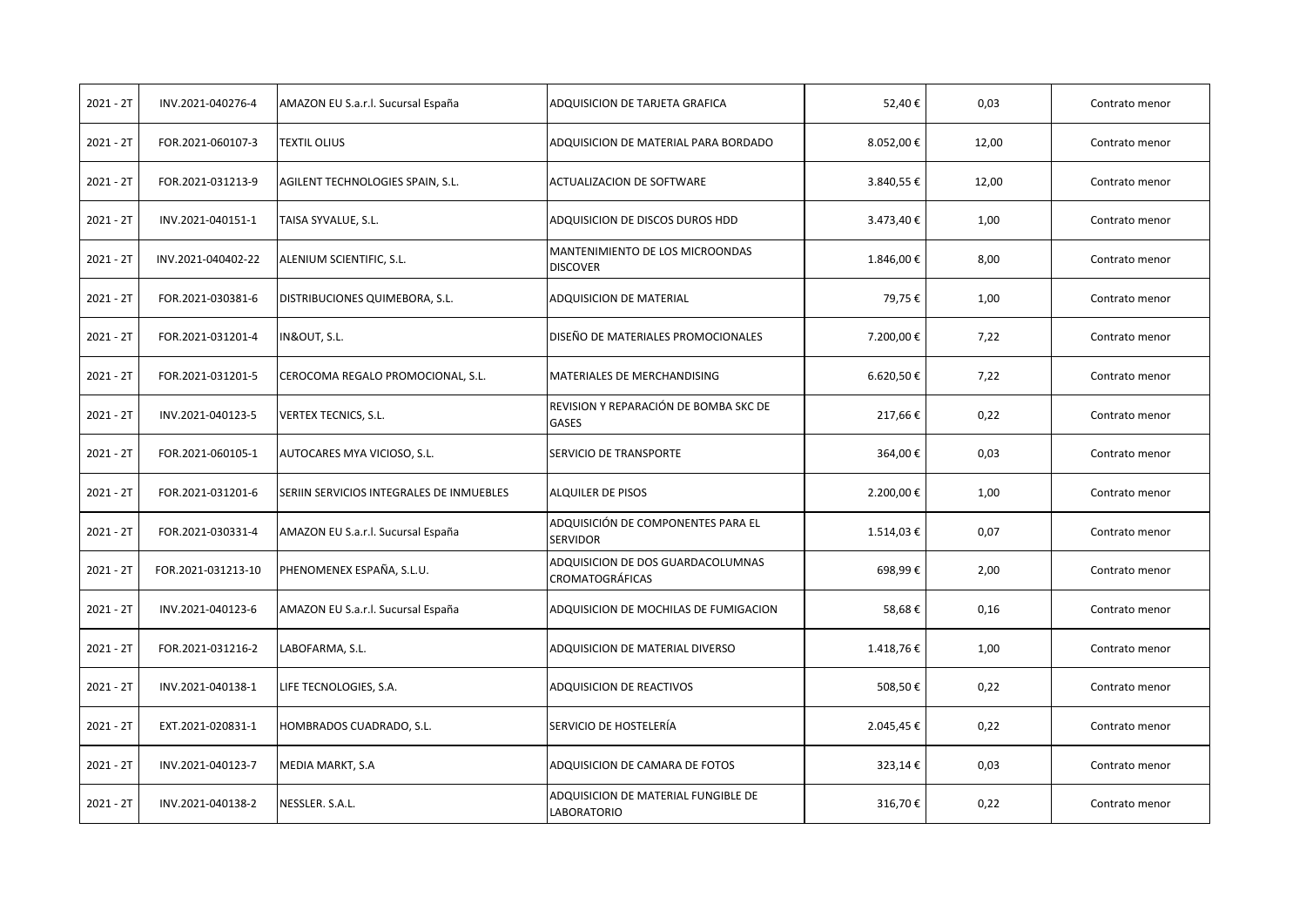| $2021 - 2T$ | INV.2021-040276-4  | AMAZON EU S.a.r.l. Sucursal España       | ADQUISICION DE TARJETA GRAFICA                              | 52,40€     | 0,03  | Contrato menor |
|-------------|--------------------|------------------------------------------|-------------------------------------------------------------|------------|-------|----------------|
| $2021 - 2T$ | FOR.2021-060107-3  | <b>TEXTIL OLIUS</b>                      | ADQUISICION DE MATERIAL PARA BORDADO                        | 8.052,00€  | 12,00 | Contrato menor |
| 2021 - 2T   | FOR.2021-031213-9  | AGILENT TECHNOLOGIES SPAIN, S.L.         | ACTUALIZACION DE SOFTWARE                                   | 3.840,55€  | 12,00 | Contrato menor |
| $2021 - 2T$ | INV.2021-040151-1  | TAISA SYVALUE, S.L.                      | ADQUISICION DE DISCOS DUROS HDD                             | 3.473,40€  | 1,00  | Contrato menor |
| $2021 - 2T$ | INV.2021-040402-22 | ALENIUM SCIENTIFIC, S.L.                 | MANTENIMIENTO DE LOS MICROONDAS<br><b>DISCOVER</b>          | 1.846,00€  | 8,00  | Contrato menor |
| $2021 - 2T$ | FOR.2021-030381-6  | DISTRIBUCIONES QUIMEBORA, S.L.           | ADQUISICION DE MATERIAL                                     | 79,75€     | 1,00  | Contrato menor |
| $2021 - 2T$ | FOR.2021-031201-4  | IN&OUT, S.L.                             | DISEÑO DE MATERIALES PROMOCIONALES                          | 7.200,00€  | 7,22  | Contrato menor |
| $2021 - 2T$ | FOR.2021-031201-5  | CEROCOMA REGALO PROMOCIONAL, S.L.        | MATERIALES DE MERCHANDISING                                 | 6.620,50€  | 7,22  | Contrato menor |
| $2021 - 2T$ | INV.2021-040123-5  | <b>VERTEX TECNICS, S.L.</b>              | REVISION Y REPARACIÓN DE BOMBA SKC DE<br><b>GASES</b>       | 217,66€    | 0,22  | Contrato menor |
| $2021 - 2T$ | FOR.2021-060105-1  | AUTOCARES MYA VICIOSO, S.L.              | SERVICIO DE TRANSPORTE                                      | 364,00€    | 0,03  | Contrato menor |
| $2021 - 2T$ | FOR.2021-031201-6  | SERIIN SERVICIOS INTEGRALES DE INMUEBLES | <b>ALQUILER DE PISOS</b>                                    | 2.200,00€  | 1,00  | Contrato menor |
| $2021 - 2T$ | FOR.2021-030331-4  | AMAZON EU S.a.r.l. Sucursal España       | ADQUISICIÓN DE COMPONENTES PARA EL<br><b>SERVIDOR</b>       | 1.514,03 € | 0,07  | Contrato menor |
| $2021 - 2T$ | FOR.2021-031213-10 | PHENOMENEX ESPAÑA, S.L.U.                | ADQUISICION DE DOS GUARDACOLUMNAS<br><b>CROMATOGRÁFICAS</b> | 698,99€    | 2,00  | Contrato menor |
| $2021 - 2T$ | INV.2021-040123-6  | AMAZON EU S.a.r.l. Sucursal España       | ADQUISICION DE MOCHILAS DE FUMIGACION                       | 58,68€     | 0,16  | Contrato menor |
| $2021 - 2T$ | FOR.2021-031216-2  | LABOFARMA, S.L.                          | ADQUISICION DE MATERIAL DIVERSO                             | 1.418,76€  | 1,00  | Contrato menor |
| $2021 - 2T$ | INV.2021-040138-1  | LIFE TECNOLOGIES, S.A.                   | ADQUISICION DE REACTIVOS                                    | 508,50€    | 0,22  | Contrato menor |
| $2021 - 2T$ | EXT.2021-020831-1  | HOMBRADOS CUADRADO, S.L.                 | SERVICIO DE HOSTELERÍA                                      | 2.045,45€  | 0,22  | Contrato menor |
| $2021 - 2T$ | INV.2021-040123-7  | MEDIA MARKT, S.A                         | ADQUISICION DE CAMARA DE FOTOS                              | 323,14€    | 0,03  | Contrato menor |
| $2021 - 2T$ | INV.2021-040138-2  | NESSLER. S.A.L.                          | ADQUISICION DE MATERIAL FUNGIBLE DE<br><b>LABORATORIO</b>   | 316,70€    | 0,22  | Contrato menor |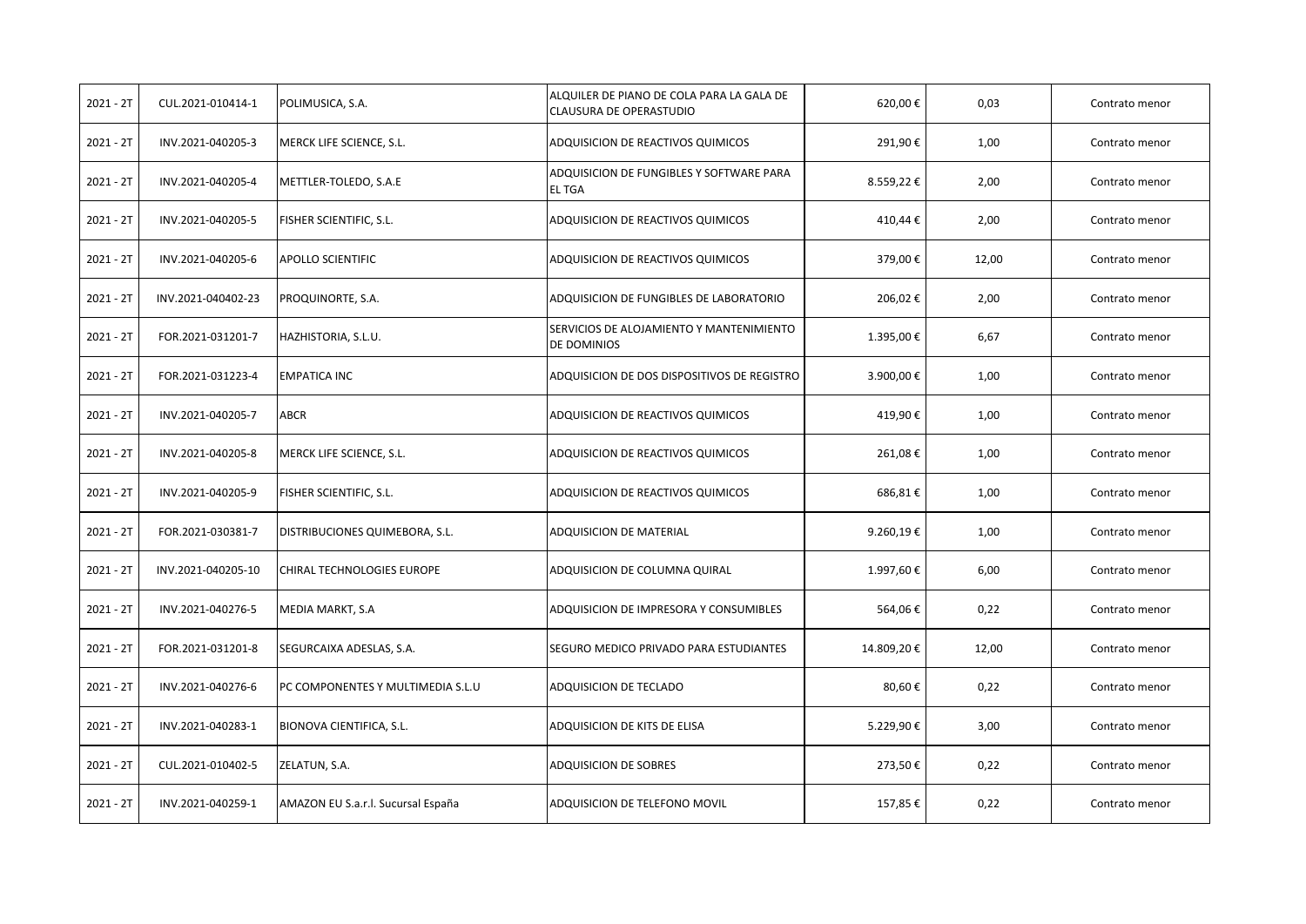| $2021 - 2T$ | CUL.2021-010414-1  | POLIMUSICA, S.A.                   | ALQUILER DE PIANO DE COLA PARA LA GALA DE<br><b>CLAUSURA DE OPERASTUDIO</b> | 620,00€    | 0,03  | Contrato menor |
|-------------|--------------------|------------------------------------|-----------------------------------------------------------------------------|------------|-------|----------------|
| $2021 - 2T$ | INV.2021-040205-3  | MERCK LIFE SCIENCE, S.L.           | ADQUISICION DE REACTIVOS QUIMICOS                                           | 291,90€    | 1,00  | Contrato menor |
| $2021 - 2T$ | INV.2021-040205-4  | METTLER-TOLEDO, S.A.E              | ADQUISICION DE FUNGIBLES Y SOFTWARE PARA<br><b>ELTGA</b>                    | 8.559,22€  | 2,00  | Contrato menor |
| 2021 - 2T   | INV.2021-040205-5  | FISHER SCIENTIFIC, S.L.            | ADQUISICION DE REACTIVOS QUIMICOS                                           | 410,44€    | 2,00  | Contrato menor |
| $2021 - 2T$ | INV.2021-040205-6  | <b>APOLLO SCIENTIFIC</b>           | ADQUISICION DE REACTIVOS QUIMICOS                                           | 379,00€    | 12,00 | Contrato menor |
| $2021 - 2T$ | INV.2021-040402-23 | PROQUINORTE, S.A.                  | ADQUISICION DE FUNGIBLES DE LABORATORIO                                     | 206,02€    | 2,00  | Contrato menor |
| $2021 - 2T$ | FOR.2021-031201-7  | HAZHISTORIA, S.L.U.                | SERVICIOS DE ALOJAMIENTO Y MANTENIMIENTO<br>DE DOMINIOS                     | 1.395,00€  | 6,67  | Contrato menor |
| $2021 - 2T$ | FOR.2021-031223-4  | <b>EMPATICA INC</b>                | ADQUISICION DE DOS DISPOSITIVOS DE REGISTRO                                 | 3.900,00€  | 1,00  | Contrato menor |
| $2021 - 2T$ | INV.2021-040205-7  | ABCR                               | ADQUISICION DE REACTIVOS QUIMICOS                                           | 419,90€    | 1,00  | Contrato menor |
| $2021 - 2T$ | INV.2021-040205-8  | MERCK LIFE SCIENCE, S.L.           | ADQUISICION DE REACTIVOS QUIMICOS                                           | 261,08€    | 1,00  | Contrato menor |
| $2021 - 2T$ | INV.2021-040205-9  | FISHER SCIENTIFIC, S.L.            | ADQUISICION DE REACTIVOS QUIMICOS                                           | 686,81€    | 1,00  | Contrato menor |
| $2021 - 2T$ | FOR.2021-030381-7  | DISTRIBUCIONES QUIMEBORA, S.L.     | ADQUISICION DE MATERIAL                                                     | 9.260,19€  | 1,00  | Contrato menor |
| $2021 - 2T$ | INV.2021-040205-10 | CHIRAL TECHNOLOGIES EUROPE         | ADQUISICION DE COLUMNA QUIRAL                                               | 1.997,60€  | 6,00  | Contrato menor |
| $2021 - 2T$ | INV.2021-040276-5  | MEDIA MARKT, S.A                   | ADQUISICION DE IMPRESORA Y CONSUMIBLES                                      | 564,06€    | 0,22  | Contrato menor |
| $2021 - 2T$ | FOR.2021-031201-8  | SEGURCAIXA ADESLAS, S.A.           | SEGURO MEDICO PRIVADO PARA ESTUDIANTES                                      | 14.809,20€ | 12,00 | Contrato menor |
| $2021 - 2T$ | INV.2021-040276-6  | PC COMPONENTES Y MULTIMEDIA S.L.U  | ADQUISICION DE TECLADO                                                      | 80,60€     | 0,22  | Contrato menor |
| $2021 - 2T$ | INV.2021-040283-1  | BIONOVA CIENTIFICA, S.L.           | ADQUISICION DE KITS DE ELISA                                                | 5.229,90€  | 3,00  | Contrato menor |
| $2021 - 2T$ | CUL.2021-010402-5  | ZELATUN, S.A.                      | <b>ADQUISICION DE SOBRES</b>                                                | 273,50€    | 0,22  | Contrato menor |
| 2021 - 2T   | INV.2021-040259-1  | AMAZON EU S.a.r.l. Sucursal España | ADQUISICION DE TELEFONO MOVIL                                               | 157,85€    | 0,22  | Contrato menor |